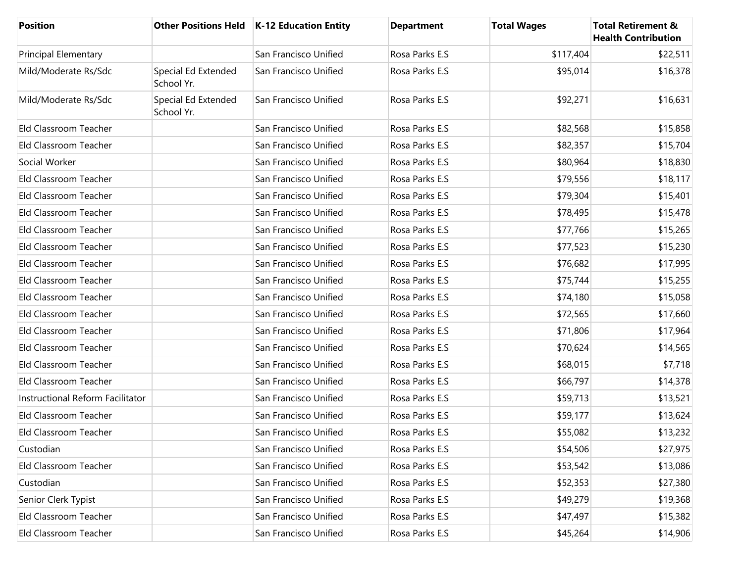| <b>Position</b>                  |                                   | Other Positions Held   K-12 Education Entity | <b>Department</b> | <b>Total Wages</b> | <b>Total Retirement &amp;</b><br><b>Health Contribution</b> |
|----------------------------------|-----------------------------------|----------------------------------------------|-------------------|--------------------|-------------------------------------------------------------|
| <b>Principal Elementary</b>      |                                   | San Francisco Unified                        | Rosa Parks E.S    | \$117,404          | \$22,511                                                    |
| Mild/Moderate Rs/Sdc             | Special Ed Extended<br>School Yr. | San Francisco Unified                        | Rosa Parks E.S    | \$95,014           | \$16,378                                                    |
| Mild/Moderate Rs/Sdc             | Special Ed Extended<br>School Yr. | San Francisco Unified                        | Rosa Parks E.S    | \$92,271           | \$16,631                                                    |
| Eld Classroom Teacher            |                                   | San Francisco Unified                        | Rosa Parks E.S    | \$82,568           | \$15,858                                                    |
| Eld Classroom Teacher            |                                   | San Francisco Unified                        | Rosa Parks E.S    | \$82,357           | \$15,704                                                    |
| Social Worker                    |                                   | San Francisco Unified                        | Rosa Parks E.S    | \$80,964           | \$18,830                                                    |
| Eld Classroom Teacher            |                                   | San Francisco Unified                        | Rosa Parks E.S    | \$79,556           | \$18,117                                                    |
| Eld Classroom Teacher            |                                   | San Francisco Unified                        | Rosa Parks E.S    | \$79,304           | \$15,401                                                    |
| Eld Classroom Teacher            |                                   | San Francisco Unified                        | Rosa Parks E.S    | \$78,495           | \$15,478                                                    |
| Eld Classroom Teacher            |                                   | San Francisco Unified                        | Rosa Parks E.S    | \$77,766           | \$15,265                                                    |
| Eld Classroom Teacher            |                                   | San Francisco Unified                        | Rosa Parks E.S    | \$77,523           | \$15,230                                                    |
| Eld Classroom Teacher            |                                   | San Francisco Unified                        | Rosa Parks E.S    | \$76,682           | \$17,995                                                    |
| Eld Classroom Teacher            |                                   | San Francisco Unified                        | Rosa Parks E.S    | \$75,744           | \$15,255                                                    |
| Eld Classroom Teacher            |                                   | San Francisco Unified                        | Rosa Parks E.S    | \$74,180           | \$15,058                                                    |
| Eld Classroom Teacher            |                                   | San Francisco Unified                        | Rosa Parks E.S    | \$72,565           | \$17,660                                                    |
| Eld Classroom Teacher            |                                   | San Francisco Unified                        | Rosa Parks E.S    | \$71,806           | \$17,964                                                    |
| Eld Classroom Teacher            |                                   | San Francisco Unified                        | Rosa Parks E.S    | \$70,624           | \$14,565                                                    |
| Eld Classroom Teacher            |                                   | San Francisco Unified                        | Rosa Parks E.S    | \$68,015           | \$7,718                                                     |
| Eld Classroom Teacher            |                                   | San Francisco Unified                        | Rosa Parks E.S    | \$66,797           | \$14,378                                                    |
| Instructional Reform Facilitator |                                   | San Francisco Unified                        | Rosa Parks E.S    | \$59,713           | \$13,521                                                    |
| Eld Classroom Teacher            |                                   | San Francisco Unified                        | Rosa Parks E.S    | \$59,177           | \$13,624                                                    |
| Eld Classroom Teacher            |                                   | San Francisco Unified                        | Rosa Parks E.S    | \$55,082           | \$13,232                                                    |
| Custodian                        |                                   | San Francisco Unified                        | Rosa Parks E.S    | \$54,506           | \$27,975                                                    |
| Eld Classroom Teacher            |                                   | San Francisco Unified                        | Rosa Parks E.S    | \$53,542           | \$13,086                                                    |
| Custodian                        |                                   | San Francisco Unified                        | Rosa Parks E.S    | \$52,353           | \$27,380                                                    |
| Senior Clerk Typist              |                                   | San Francisco Unified                        | Rosa Parks E.S    | \$49,279           | \$19,368                                                    |
| Eld Classroom Teacher            |                                   | San Francisco Unified                        | Rosa Parks E.S    | \$47,497           | \$15,382                                                    |
| Eld Classroom Teacher            |                                   | San Francisco Unified                        | Rosa Parks E.S    | \$45,264           | \$14,906                                                    |